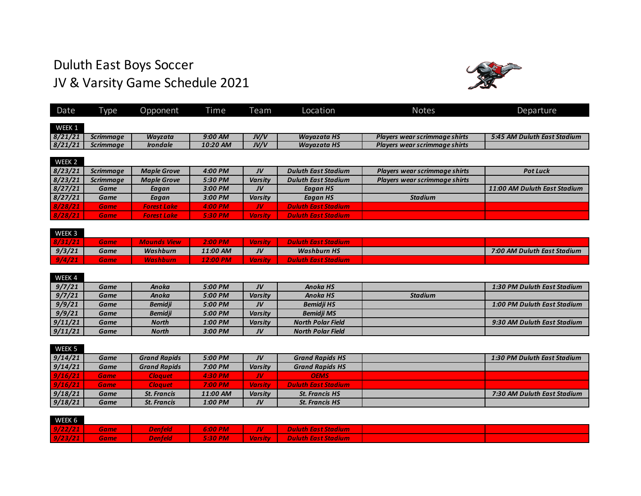## Duluth East Boys Soccer JV & Varsity Game Schedule 2021



| Date    | Гуре             | Opponent               | Time     | Team           | Location                   | <b>Notes</b>                  | Departure                    |
|---------|------------------|------------------------|----------|----------------|----------------------------|-------------------------------|------------------------------|
| WEEK 1  |                  |                        |          |                |                            |                               |                              |
| 8/21/21 | <b>Scrimmage</b> | Wavzata                | 9:00 AM  | JV/V           | <b>Wayazata HS</b>         | Players wear scrimmage shirts | 5:45 AM Duluth East Stadium  |
| 8/21/21 | <b>Scrimmage</b> | <i><b>Irondale</b></i> | 10:20 AM | JV/V           | <b>Wayazata HS</b>         | Players wear scrimmage shirts |                              |
|         |                  |                        |          |                |                            |                               |                              |
| WEEK 2  |                  |                        |          |                |                            |                               |                              |
|         |                  |                        |          |                |                            |                               |                              |
| 8/23/21 | <b>Scrimmage</b> | <b>Maple Grove</b>     | 4:00 PM  | JV             | <b>Duluth East Stadium</b> | Players wear scrimmage shirts | <b>Pot Luck</b>              |
| 8/23/21 | <b>Scrimmage</b> | <b>Maple Grove</b>     | 5:30 PM  | <b>Varsity</b> | <b>Duluth East Stadium</b> | Players wear scrimmage shirts |                              |
| 8/27/21 | Game             | Eagan                  | 3:00 PM  | JV             | Eagan HS                   |                               | 11:00 AM Duluth East Stadium |
| 8/27/21 | Game             | Eagan                  | 3:00 PM  | <b>Varsity</b> | Eagan HS                   | <b>Stadium</b>                |                              |
| 8/28/21 | <b>Game</b>      | <b>Forest Lake</b>     | 4:00 PM  | JV.            | <b>Duluth East Stadium</b> |                               |                              |
| 8/28/21 | <b>Game</b>      | <b>Forest Lake</b>     | 5:30 PM  | <b>Varsity</b> | <b>Duluth East Stadium</b> |                               |                              |

| WEEK 3  |       |                    |          |                |                            |                             |
|---------|-------|--------------------|----------|----------------|----------------------------|-----------------------------|
| 8/31/21 | Game' | <b>Mounds View</b> | 2:00 PM  | <b>Varsity</b> | <b>Duluth East Stadium</b> |                             |
| 9/3/21  | Game  | Washburn           | 11:00 AM | JV             | <b>Washburn HS</b>         | 7:00 AM Duluth East Stadium |
| 9/4/21  | Game  | <b>Washburn</b>    | 12:00 PM | <b>Varsity</b> | <b>Duluth East Stadium</b> |                             |

| WEEK 4  |      |                |         |                |                          |                |                             |
|---------|------|----------------|---------|----------------|--------------------------|----------------|-----------------------------|
| 9/7/21  | Game | Anoka          | 5:00 PM | JV             | Anoka HS                 |                | 1:30 PM Duluth East Stadium |
| 9/7/21  | Game | Anoka          | 5:00 PM | <b>Varsity</b> | Anoka HS                 | <b>Stadium</b> |                             |
| 9/9/21  | Game | <b>Bemidii</b> | 5:00 PM | JV             | <b>Bemidii HS</b>        |                | 1:00 PM Duluth East Stadium |
| 9/9/21  | Game | <b>Bemidji</b> | 5:00 PM | Varsity        | <b>Bemidii MS</b>        |                |                             |
| 9/11/21 | Game | <b>North</b>   | 1:00 PM | Varsity        | North Polar Field        |                | 9:30 AM Duluth East Stadium |
| 9/11/21 | Game | North          | 3:00 PM | JV             | <b>North Polar Field</b> |                |                             |

| WEEK 5  |             |                     |          |                |                            |                             |
|---------|-------------|---------------------|----------|----------------|----------------------------|-----------------------------|
| 9/14/21 | Game        | <b>Grand Rapids</b> | 5:00 PM  | JV             | <b>Grand Rapids HS</b>     | 1:30 PM Duluth East Stadium |
| 9/14/21 | Game        | <b>Grand Rapids</b> | 7:00 PM  | <b>Varsity</b> | <b>Grand Rapids HS</b>     |                             |
| 9/16/21 | <b>Game</b> | <b>Cloauet</b>      | 4:30 PM  | W              | <b>OEMS</b>                |                             |
| 9/16/21 | <b>Game</b> | Cloauet /           | 7:00 PM  | <b>Varsity</b> | <b>Duluth East Stadium</b> |                             |
| 9/18/21 | Game        | <b>St. Francis</b>  | 11:00 AM | <b>Varsity</b> | <b>St. Francis HS</b>      | 7:30 AM Duluth East Stadium |
| 9/18/21 | Game        | <b>St. Francis</b>  | 1:00 PM  | JV             | <b>St. Francis HS</b>      |                             |

| WEEK 6  |             |                |                     |     |                                    |  |
|---------|-------------|----------------|---------------------|-----|------------------------------------|--|
| 9/22/21 | <b>Game</b> | <b>Denfeld</b> | $6:00 \, \text{PM}$ | JV. | <b>Duluth East Stadium</b>         |  |
| 9/23/21 | Game I      | <b>Denfeld</b> | 5:30 PM             |     | <b>Uarsity Buluth East Stadium</b> |  |